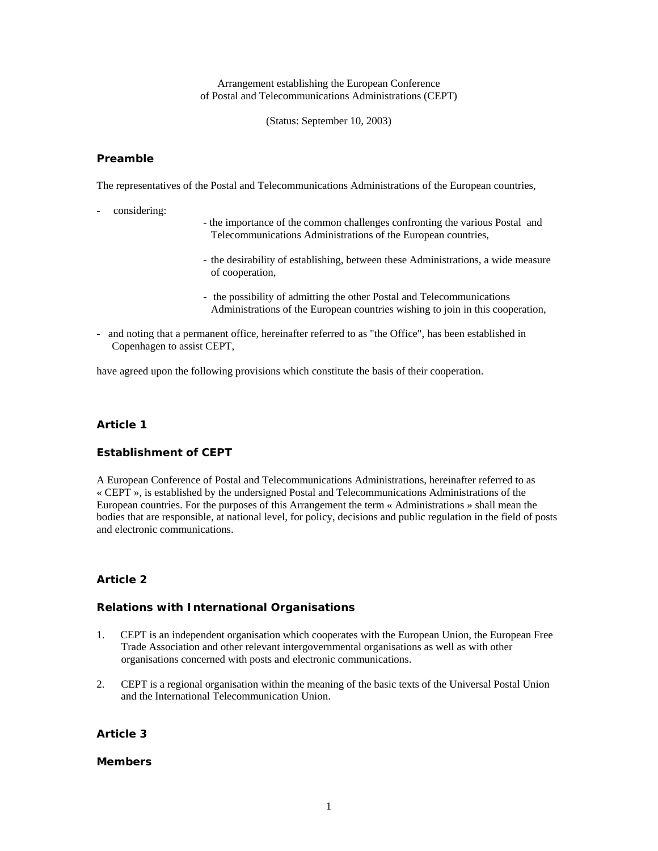Arrangement establishing the European Conference of Postal and Telecommunications Administrations (CEPT)

(Status: September 10, 2003)

### **Preamble**

The representatives of the Postal and Telecommunications Administrations of the European countries,

- considering:
- the importance of the common challenges confronting the various Postal and Telecommunications Administrations of the European countries,
- the desirability of establishing, between these Administrations, a wide measure of cooperation,
- the possibility of admitting the other Postal and Telecommunications Administrations of the European countries wishing to join in this cooperation,
- and noting that a permanent office, hereinafter referred to as "the Office", has been established in Copenhagen to assist CEPT,

have agreed upon the following provisions which constitute the basis of their cooperation.

## *Article 1*

#### **Establishment of CEPT**

A European Conference of Postal and Telecommunications Administrations, hereinafter referred to as « CEPT », is established by the undersigned Postal and Telecommunications Administrations of the European countries. For the purposes of this Arrangement the term « Administrations » shall mean the bodies that are responsible, at national level, for policy, decisions and public regulation in the field of posts and electronic communications.

## *Article 2*

#### **Relations with International Organisations**

- 1. CEPT is an independent organisation which cooperates with the European Union, the European Free Trade Association and other relevant intergovernmental organisations as well as with other organisations concerned with posts and electronic communications.
- 2. CEPT is a regional organisation within the meaning of the basic texts of the Universal Postal Union and the International Telecommunication Union.

## *Article 3*

#### **Members**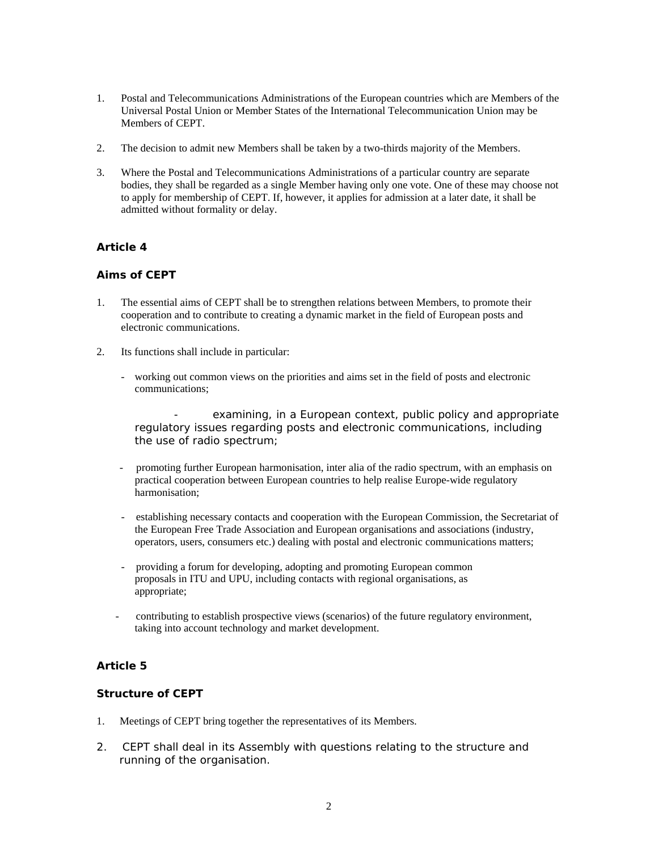- 1. Postal and Telecommunications Administrations of the European countries which are Members of the Universal Postal Union or Member States of the International Telecommunication Union may be Members of CEPT.
- 2. The decision to admit new Members shall be taken by a two-thirds majority of the Members.
- 3. Where the Postal and Telecommunications Administrations of a particular country are separate bodies, they shall be regarded as a single Member having only one vote. One of these may choose not to apply for membership of CEPT. If, however, it applies for admission at a later date, it shall be admitted without formality or delay.

# *Article 4*

## **Aims of CEPT**

- 1. The essential aims of CEPT shall be to strengthen relations between Members, to promote their cooperation and to contribute to creating a dynamic market in the field of European posts and electronic communications.
- 2. Its functions shall include in particular:
	- working out common views on the priorities and aims set in the field of posts and electronic communications;
		- examining, in a European context, public policy and appropriate regulatory issues regarding posts and electronic communications, including the use of radio spectrum;
	- promoting further European harmonisation, inter alia of the radio spectrum, with an emphasis on practical cooperation between European countries to help realise Europe-wide regulatory harmonisation;
	- establishing necessary contacts and cooperation with the European Commission, the Secretariat of the European Free Trade Association and European organisations and associations (industry, operators, users, consumers etc.) dealing with postal and electronic communications matters;
	- providing a forum for developing, adopting and promoting European common proposals in ITU and UPU, including contacts with regional organisations, as appropriate;
	- contributing to establish prospective views (scenarios) of the future regulatory environment, taking into account technology and market development.

# *Article 5*

# **Structure of CEPT**

- 1. Meetings of CEPT bring together the representatives of its Members.
- 2. CEPT shall deal in its Assembly with questions relating to the structure and running of the organisation.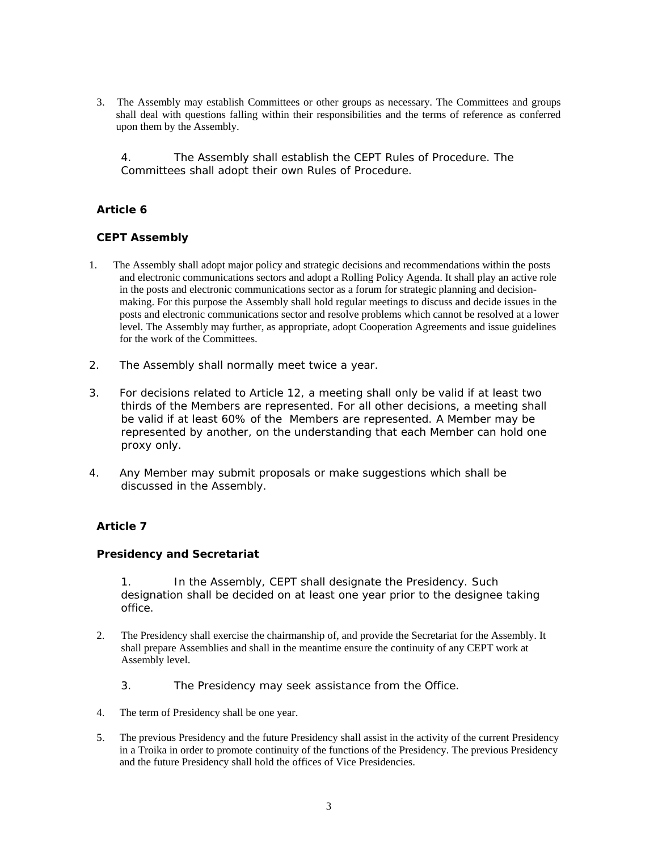3. The Assembly may establish Committees or other groups as necessary. The Committees and groups shall deal with questions falling within their responsibilities and the terms of reference as conferred upon them by the Assembly.

4. The Assembly shall establish the CEPT Rules of Procedure. The Committees shall adopt their own Rules of Procedure.

# *Article 6*

# **CEPT Assembly**

- 1. The Assembly shall adopt major policy and strategic decisions and recommendations within the posts and electronic communications sectors and adopt a Rolling Policy Agenda. It shall play an active role in the posts and electronic communications sector as a forum for strategic planning and decisionmaking. For this purpose the Assembly shall hold regular meetings to discuss and decide issues in the posts and electronic communications sector and resolve problems which cannot be resolved at a lower level. The Assembly may further, as appropriate, adopt Cooperation Agreements and issue guidelines for the work of the Committees.
- 2. The Assembly shall normally meet twice a year.
- 3. For decisions related to Article 12, a meeting shall only be valid if at least two thirds of the Members are represented. For all other decisions, a meeting shall be valid if at least 60% of the Members are represented. A Member may be represented by another, on the understanding that each Member can hold one proxy only.
- 4. Any Member may submit proposals or make suggestions which shall be discussed in the Assembly.

# *Article 7*

# **Presidency and Secretariat**

1. In the Assembly, CEPT shall designate the Presidency. Such designation shall be decided on at least one year prior to the designee taking office.

- 2. The Presidency shall exercise the chairmanship of, and provide the Secretariat for the Assembly. It shall prepare Assemblies and shall in the meantime ensure the continuity of any CEPT work at Assembly level.
	- 3. The Presidency may seek assistance from the Office.
- 4. The term of Presidency shall be one year.
- 5. The previous Presidency and the future Presidency shall assist in the activity of the current Presidency in a Troika in order to promote continuity of the functions of the Presidency. The previous Presidency and the future Presidency shall hold the offices of Vice Presidencies.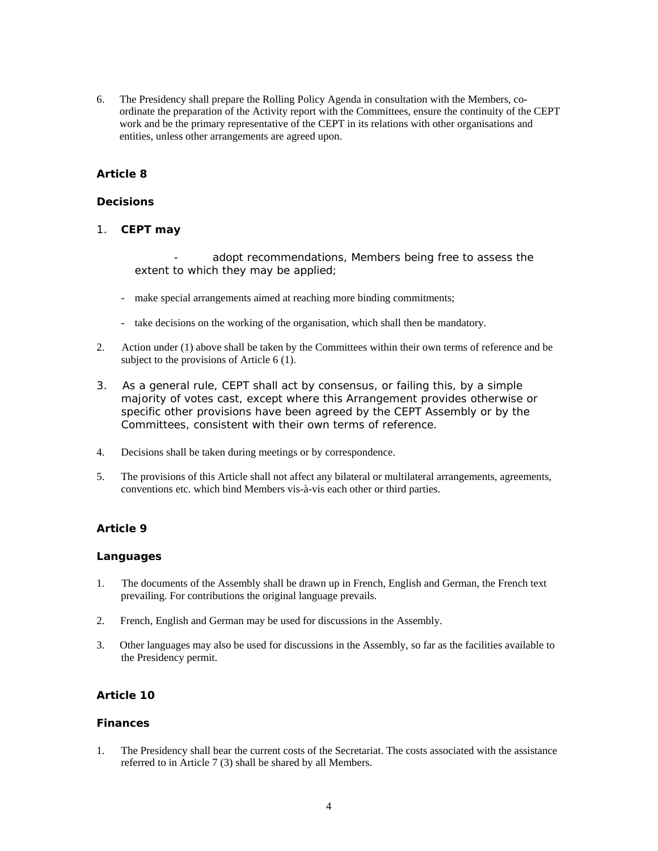6. The Presidency shall prepare the Rolling Policy Agenda in consultation with the Members, coordinate the preparation of the Activity report with the Committees, ensure the continuity of the CEPT work and be the primary representative of the CEPT in its relations with other organisations and entities, unless other arrangements are agreed upon.

# *Article 8*

### **Decisions**

1. **CEPT may** 

adopt recommendations, Members being free to assess the extent to which they may be applied;

- make special arrangements aimed at reaching more binding commitments;
- take decisions on the working of the organisation, which shall then be mandatory.
- 2. Action under (1) above shall be taken by the Committees within their own terms of reference and be subject to the provisions of Article 6 (1).
- 3. As a general rule, CEPT shall act by consensus, or failing this, by a simple majority of votes cast, except where this Arrangement provides otherwise or specific other provisions have been agreed by the CEPT Assembly or by the Committees, consistent with their own terms of reference.
- 4. Decisions shall be taken during meetings or by correspondence.
- 5. The provisions of this Article shall not affect any bilateral or multilateral arrangements, agreements, conventions etc. which bind Members vis-à-vis each other or third parties.

# *Article 9*

### **Languages**

- 1. The documents of the Assembly shall be drawn up in French, English and German, the French text prevailing. For contributions the original language prevails.
- 2. French, English and German may be used for discussions in the Assembly.
- 3. Other languages may also be used for discussions in the Assembly, so far as the facilities available to the Presidency permit.

# *Article 10*

### **Finances**

1. The Presidency shall bear the current costs of the Secretariat. The costs associated with the assistance referred to in Article 7 (3) shall be shared by all Members.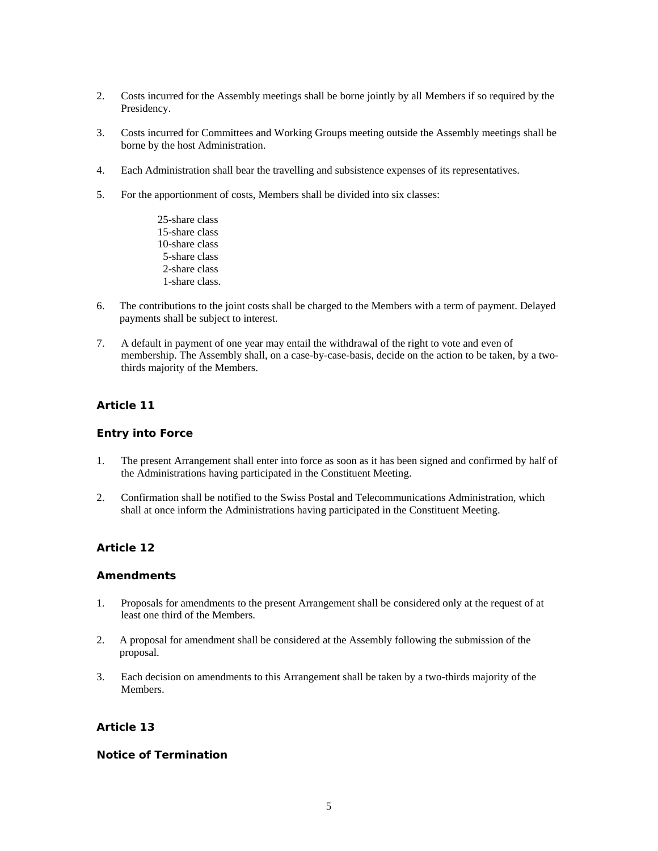- 2. Costs incurred for the Assembly meetings shall be borne jointly by all Members if so required by the Presidency.
- 3. Costs incurred for Committees and Working Groups meeting outside the Assembly meetings shall be borne by the host Administration.
- 4. Each Administration shall bear the travelling and subsistence expenses of its representatives.
- 5. For the apportionment of costs, Members shall be divided into six classes:
	- 25-share class 15-share class 10-share class 5-share class 2-share class 1-share class.
- 6. The contributions to the joint costs shall be charged to the Members with a term of payment. Delayed payments shall be subject to interest.
- 7. A default in payment of one year may entail the withdrawal of the right to vote and even of membership. The Assembly shall, on a case-by-case-basis, decide on the action to be taken, by a twothirds majority of the Members.

# *Article 11*

### **Entry into Force**

- 1. The present Arrangement shall enter into force as soon as it has been signed and confirmed by half of the Administrations having participated in the Constituent Meeting.
- 2. Confirmation shall be notified to the Swiss Postal and Telecommunications Administration, which shall at once inform the Administrations having participated in the Constituent Meeting.

# *Article 12*

### **Amendments**

- 1. Proposals for amendments to the present Arrangement shall be considered only at the request of at least one third of the Members.
- 2. A proposal for amendment shall be considered at the Assembly following the submission of the proposal.
- 3. Each decision on amendments to this Arrangement shall be taken by a two-thirds majority of the Members.

### *Article 13*

### **Notice of Termination**